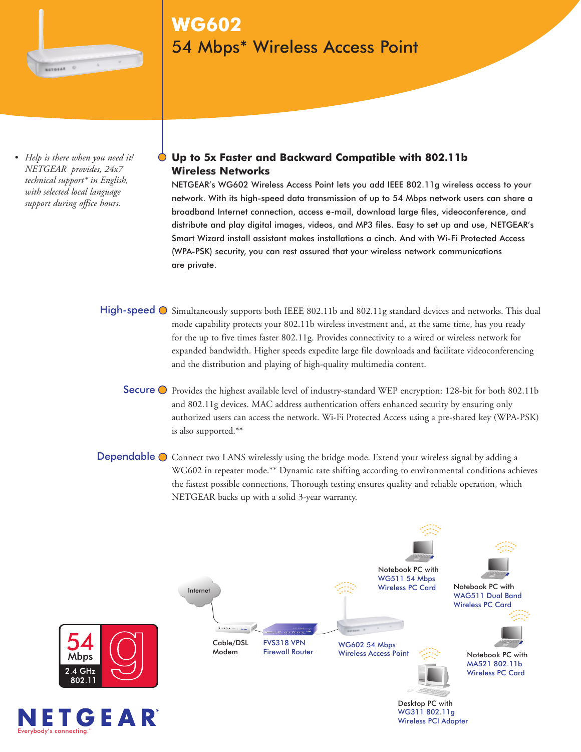

# **WG602** 54 Mbps\* Wireless Access Point

*• Help is there when you need it! NETGEAR provides, 24x7 technical support\* in English, with selected local language support during office hours.*

## **Up to 5x Faster and Backward Compatible with 802.11b Wireless Networks**

NETGEAR's WG602 Wireless Access Point lets you add IEEE 802.11g wireless access to your network. With its high-speed data transmission of up to 54 Mbps network users can share a broadband Internet connection, access e-mail, download large files, videoconference, and distribute and play digital images, videos, and MP3 files. Easy to set up and use, NETGEAR's Smart Wizard install assistant makes installations a cinch. And with Wi-Fi Protected Access (WPA-PSK) security, you can rest assured that your wireless network communications are private.

- High-speed  $\bigcirc$  Simultaneously supports both IEEE 802.11b and 802.11g standard devices and networks. This dual mode capability protects your 802.11b wireless investment and, at the same time, has you ready for the up to five times faster 802.11g. Provides connectivity to a wired or wireless network for expanded bandwidth. Higher speeds expedite large file downloads and facilitate videoconferencing and the distribution and playing of high-quality multimedia content.
	- Secure O Provides the highest available level of industry-standard WEP encryption: 128-bit for both 802.11b and 802.11g devices. MAC address authentication offers enhanced security by ensuring only authorized users can access the network. Wi-Fi Protected Access using a pre-shared key (WPA-PSK) is also supported.\*\*
- Dependable  $\bigcirc$  Connect two LANS wirelessly using the bridge mode. Extend your wireless signal by adding a WG602 in repeater mode.\*\* Dynamic rate shifting according to environmental conditions achieves the fastest possible connections. Thorough testing ensures quality and reliable operation, which NETGEAR backs up with a solid 3-year warranty.





Mbps 2.4 GHz

> WG311 802.11g Wireless PCI Adapter